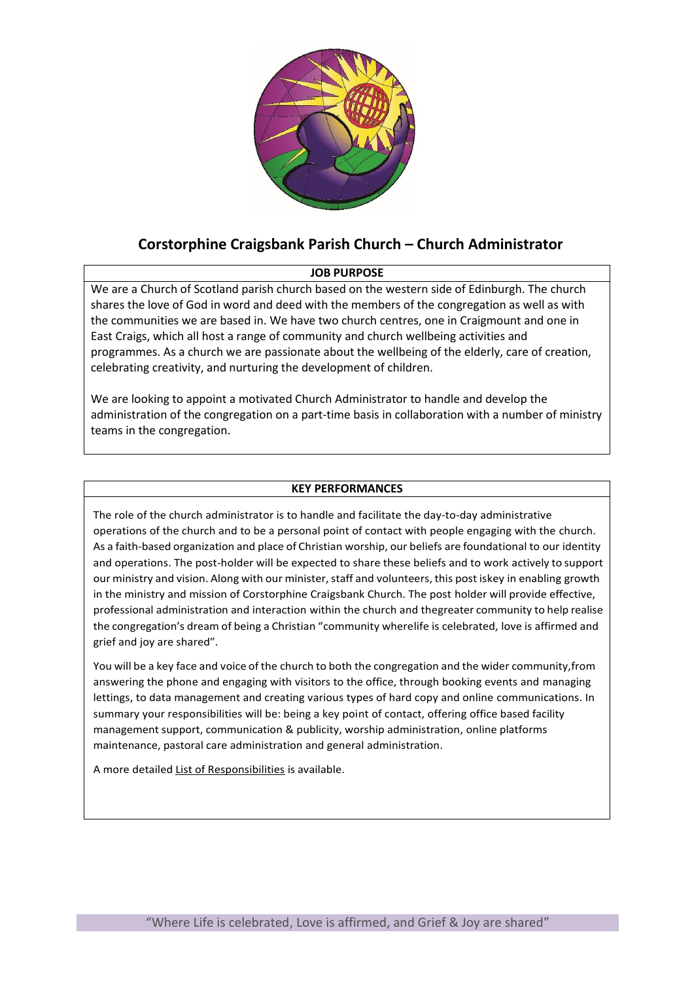

# **Corstorphine Craigsbank Parish Church – Church Administrator**

## **JOB PURPOSE**

We are a Church of Scotland parish church based on the western side of Edinburgh. The church shares the love of God in word and deed with the members of the congregation as well as with the communities we are based in. We have two church centres, one in Craigmount and one in East Craigs, which all host a range of community and church wellbeing activities and programmes. As a church we are passionate about the wellbeing of the elderly, care of creation, celebrating creativity, and nurturing the development of children.

We are looking to appoint a motivated Church Administrator to handle and develop the administration of the congregation on a part-time basis in collaboration with a number of ministry teams in the congregation.

### **KEY PERFORMANCES**

The role of the church administrator is to handle and facilitate the day-to-day administrative operations of the church and to be a personal point of contact with people engaging with the church. As a faith-based organization and place of Christian worship, our beliefs are foundational to our identity and operations. The post-holder will be expected to share these beliefs and to work actively to support our ministry and vision. Along with our minister, staff and volunteers, this post iskey in enabling growth in the ministry and mission of Corstorphine Craigsbank Church. The post holder will provide effective, professional administration and interaction within the church and thegreater community to help realise the congregation's dream of being a Christian "community wherelife is celebrated, love is affirmed and grief and joy are shared".

You will be a key face and voice of the church to both the congregation and the wider community,from answering the phone and engaging with visitors to the office, through booking events and managing lettings, to data management and creating various types of hard copy and online communications. In summary your responsibilities will be: being a key point of contact, offering office based facility management support, communication & publicity, worship administration, online platforms maintenance, pastoral care administration and general administration.

A more detailed List of Responsibilities is available.